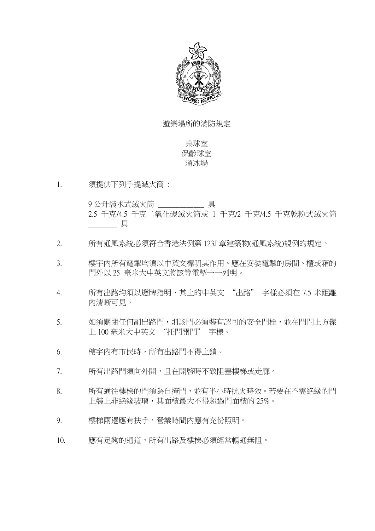

#### 遊樂場所的消防規定

桌球室 保齡球室 溜冰場

1. 須提供下列手提滅火筒 :

9 公升裝水式滅火筒 \_\_\_\_\_\_\_\_\_\_\_\_\_\_\_具 2.5 千克/4.5 千克二氧化碳滅火筒或 1 千克/2 千克/4.5 千克亁粉式滅火筒  $-$ 具

- 2. 所有通風系統必須符合香港法例第 123J 章建築物(通風系統)規例的規定。
- 3. 樓宇內所有電掣均須以中英文標明其作用。應在安娤電掣的房間、櫃或箱的 門外以 25 毫米大中英文將該等電掣一一列明。
- 4. 所有出路均須以燈牌指明,其上的中英文 "出路" 字樣必須在 7.5 米距離 內清晰可見。
- 5. 如須關閉任何副出路門,則該門必須裝有認可的安全門栓,並在門閂上方髹 上 100 毫米大中英文 "托閂開門" 字様。
- 6. 樓宇內有市民時,所有出路門不得上鎖。
- 7. 所有出路門須向外開,且在開啓時不致阻塞樓梯或走廊。
- 8. 所有通往樓梯的門須為自掩門,並有半小時抗火時效。若要在不需絶縁的門 上裝上非絶緣玻璃,其面積最大不得超過門面積的 25%。
- 9. 樓梯兩邊應有扶手,營業時間內應有充份照明。
- 10. 應有足夠的通道,所有出路及樓梯必須經常暢通無阻。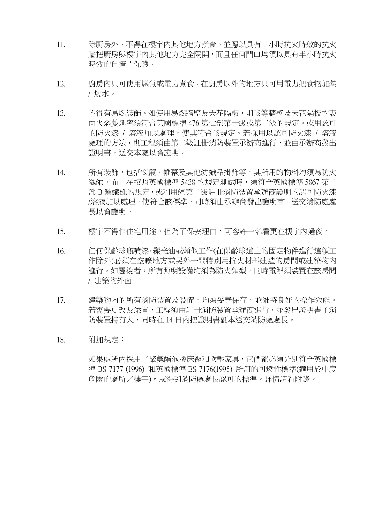- 11. 除廚房外,不得在樓宇內其他地方煮食,並應以具有 1 小時抗火時效的抗火 牆把廚房與樓宇內其他地方完全隔開,而且任何門口均須以具有半小時抗火 時效的自掩門保護。
- 12. 廚房內只可使用煤氣或電力煮食。在廚房以外的地方只可用電力把食物加熱 / 燒水。
- 13. 不得有易燃裝飾。如使用易燃牆壁及天花隔板,則該等牆壁及天花隔板的表 面火熖蔓延率須符合英國標準 476 第七部第一級或第二級的規定。或用認可 的防火漆 / 溶液加以處理,使其符合該規定。若採用以認可防火漆 / 溶液 處理的方法,則工程須由第二級註册消防装置承辦商進行,並由承辦商發出 證明書,送交本處以資證明。
- 14. 所有裝飾,包括窗簾、帷幕及其他紡織品掛飾等,其所用的物料均須為防火 纖維,而且在按照英國標準 5438 的規定測試時,須符合英國標準 5867 第二 部 B 類纖維的規定,或利用經第二級註冊消防装置承辦商證明的認可防火漆 /溶液加以處理,使符合該標準。同時須由承辦商發出證明書,送交消防處處 長以資證明。
- 15. 樓宇不得作住宅用途,但為了保安理由,可容許一名看更在樓宇內過夜。
- 16. 任何保齡球瓶噴漆,髹光油或類似工作(在保齡球道上的固定物件進行這頪工 作除外)必須在空曠地方或另外一間特別用抗火材料建造的房間或建築物內 進行。如屬後者,所有照明設備均須為防火類型,同時電掣須装置在該房間 / 建築物外面。
- 17. 建築物內的所有消防装置及設備,均須妥善保存,並維持良好的操作效能。 若需要更改及添置,工程須由註册消防装置承辦商進行,並發出證明書予消 防装置持有人,同時在 14 日內把證明書副本送交消防處處長。
- 18. 附加規定:

如果處所內採用了聚氨酯泡膠床褥和軟墊家具,它們都必須分別符合英國標 準 BS 7177 (1996) 和英國標準 BS 7176(1995) 所訂的可燃性標準(適用於中度 危險的處所/樓宇),或得到消防處處長認可的標準。詳情請看附錄。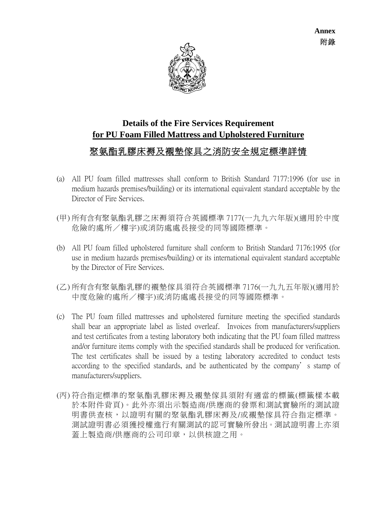

# **Details of the Fire Services Requirement for PU Foam Filled Mattress and Upholstered Furniture**

## 聚氨酯乳膠床褥及襯墊傢具之消防安全規定標準詳情

- (a) All PU foam filled mattresses shall conform to British Standard 7177:1996 (for use in medium hazards premises/building) or its international equivalent standard acceptable by the Director of Fire Services.
- (甲) 所有含有聚氨酯乳膠之床褥須符合英國標準 7177(一九九六年版)(適用於中度 危險的處所/樓宇)或消防處處長接受的同等國際標準。
- (b) All PU foam filled upholstered furniture shall conform to British Standard 7176:1995 (for use in medium hazards premises/building) or its international equivalent standard acceptable by the Director of Fire Services.
- (乙) 所有含有聚氨酯乳膠的襯墊傢具須符合英國標準 7176(一九九五年版)(適用於 中度危險的處所/樓宇)或消防處處長接受的同等國際標準。
- (c) The PU foam filled mattresses and upholstered furniture meeting the specified standards shall bear an appropriate label as listed overleaf. Invoices from manufacturers/suppliers and test certificates from a testing laboratory both indicating that the PU foam filled mattress and/or furniture items comply with the specified standards shall be produced for verification. The test certificates shall be issued by a testing laboratory accredited to conduct tests according to the specified standards, and be authenticated by the company's stamp of manufacturers/suppliers.
- (丙) 符合指定標準的聚氨酯乳膠床褥及襯墊傢具須附有適當的標籤(標籤樣本載 於本附件背頁)。此外亦須出示製造商/供應商的發票和測試實驗所的測試證 明書供查核,以證明有關的聚氨酯乳膠床褥及/或襯墊傢具符合指定標準。 測試證明書必須獲授權進行有關測試的認可實驗所發出。測試證明書上亦須 蓋上製造商/供應商的公司印章,以供核證之用。